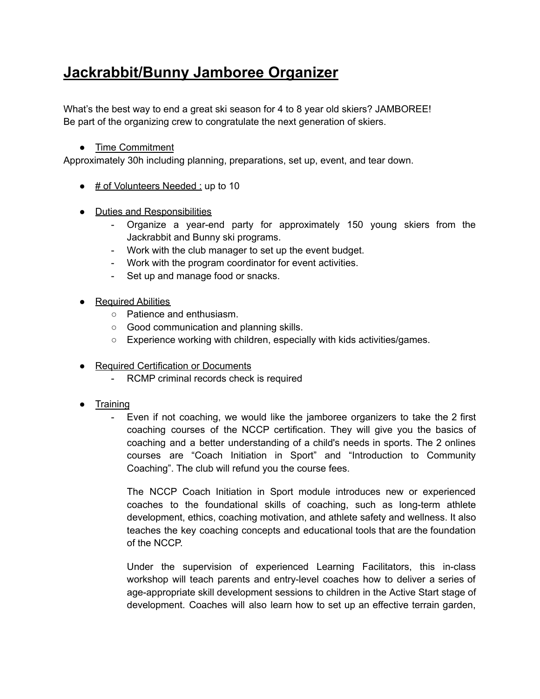## **Jackrabbit/Bunny Jamboree Organizer**

What's the best way to end a great ski season for 4 to 8 year old skiers? JAMBOREE! Be part of the organizing crew to congratulate the next generation of skiers.

## ● Time Commitment

Approximately 30h including planning, preparations, set up, event, and tear down.

- # of Volunteers Needed : up to 10
- Duties and Responsibilities
	- Organize a year-end party for approximately 150 young skiers from the Jackrabbit and Bunny ski programs.
	- Work with the club manager to set up the event budget.
	- Work with the program coordinator for event activities.
	- Set up and manage food or snacks.
- Required Abilities
	- Patience and enthusiasm.
	- Good communication and planning skills.
	- Experience working with children, especially with kids activities/games.
- Required Certification or Documents
	- RCMP criminal records check is required
- Training
	- Even if not coaching, we would like the jamboree organizers to take the 2 first coaching courses of the NCCP certification. They will give you the basics of coaching and a better understanding of a child's needs in sports. The 2 onlines courses are "Coach Initiation in Sport" and "Introduction to Community Coaching". The club will refund you the course fees.

The NCCP Coach Initiation in Sport module introduces new or experienced coaches to the foundational skills of coaching, such as long-term athlete development, ethics, coaching motivation, and athlete safety and wellness. It also teaches the key coaching concepts and educational tools that are the foundation of the NCCP.

Under the supervision of experienced Learning Facilitators, this in-class workshop will teach parents and entry-level coaches how to deliver a series of age-appropriate skill development sessions to children in the Active Start stage of development. Coaches will also learn how to set up an effective terrain garden,